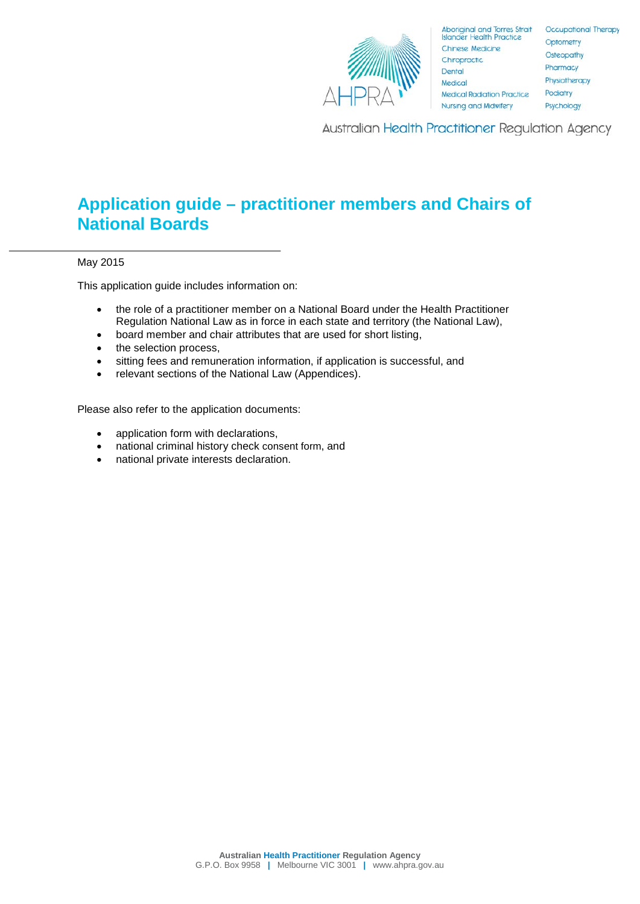

Australian Health Practitioner Regulation Agency

# **Application guide – practitioner members and Chairs of National Boards**

# May 2015

This application guide includes information on:

- the role of a practitioner member on a National Board under the Health Practitioner Regulation National Law as in force in each state and territory (the National Law),
- board member and chair attributes that are used for short listing,
- the selection process,
- sitting fees and remuneration information, if application is successful, and
- relevant sections of the National Law (Appendices).

Please also refer to the application documents:

- application form with declarations,
- national criminal history check consent form, and
- national private interests declaration.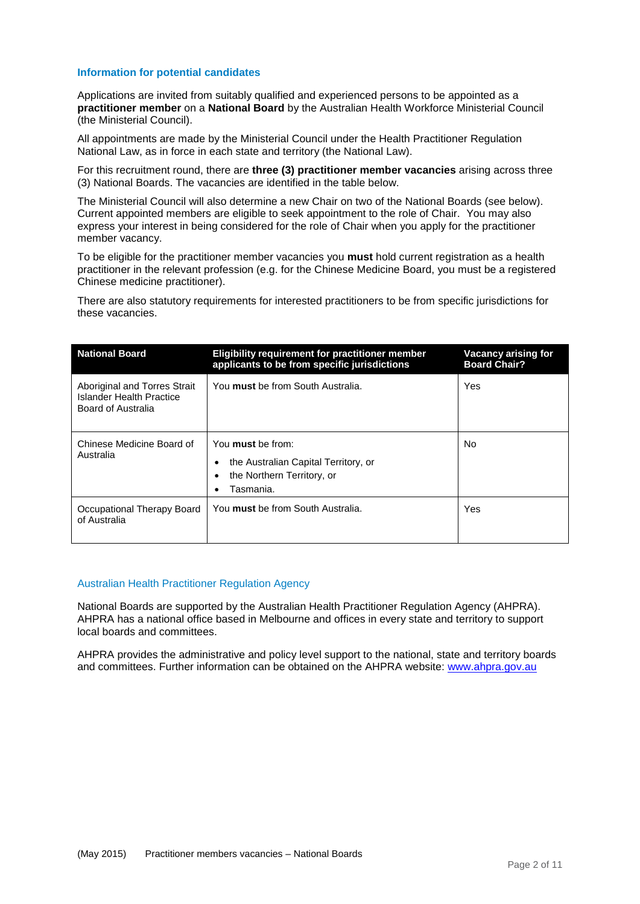# **Information for potential candidates**

Applications are invited from suitably qualified and experienced persons to be appointed as a **practitioner member** on a **National Board** by the Australian Health Workforce Ministerial Council (the Ministerial Council).

All appointments are made by the Ministerial Council under the Health Practitioner Regulation National Law, as in force in each state and territory (the National Law).

For this recruitment round, there are **three (3) practitioner member vacancies** arising across three (3) National Boards. The vacancies are identified in the table below.

The Ministerial Council will also determine a new Chair on two of the National Boards (see below). Current appointed members are eligible to seek appointment to the role of Chair. You may also express your interest in being considered for the role of Chair when you apply for the practitioner member vacancy.

To be eligible for the practitioner member vacancies you **must** hold current registration as a health practitioner in the relevant profession (e.g. for the Chinese Medicine Board, you must be a registered Chinese medicine practitioner).

There are also statutory requirements for interested practitioners to be from specific jurisdictions for these vacancies.

| <b>National Board</b>                                                          | <b>Eligibility requirement for practitioner member</b><br>applicants to be from specific jurisdictions      | <b>Vacancy arising for</b><br><b>Board Chair?</b> |
|--------------------------------------------------------------------------------|-------------------------------------------------------------------------------------------------------------|---------------------------------------------------|
| Aboriginal and Torres Strait<br>Islander Health Practice<br>Board of Australia | You must be from South Australia.                                                                           | Yes                                               |
| Chinese Medicine Board of<br>Australia                                         | You <b>must</b> be from:<br>the Australian Capital Territory, or<br>the Northern Territory, or<br>Tasmania. | No.                                               |
| Occupational Therapy Board<br>of Australia                                     | You must be from South Australia.                                                                           | Yes                                               |

#### Australian Health Practitioner Regulation Agency

National Boards are supported by the Australian Health Practitioner Regulation Agency (AHPRA). AHPRA has a national office based in Melbourne and offices in every state and territory to support local boards and committees.

AHPRA provides the administrative and policy level support to the national, state and territory boards and committees. Further information can be obtained on the AHPRA website: [www.ahpra.gov.au](http://www.ahpra.gov.au/)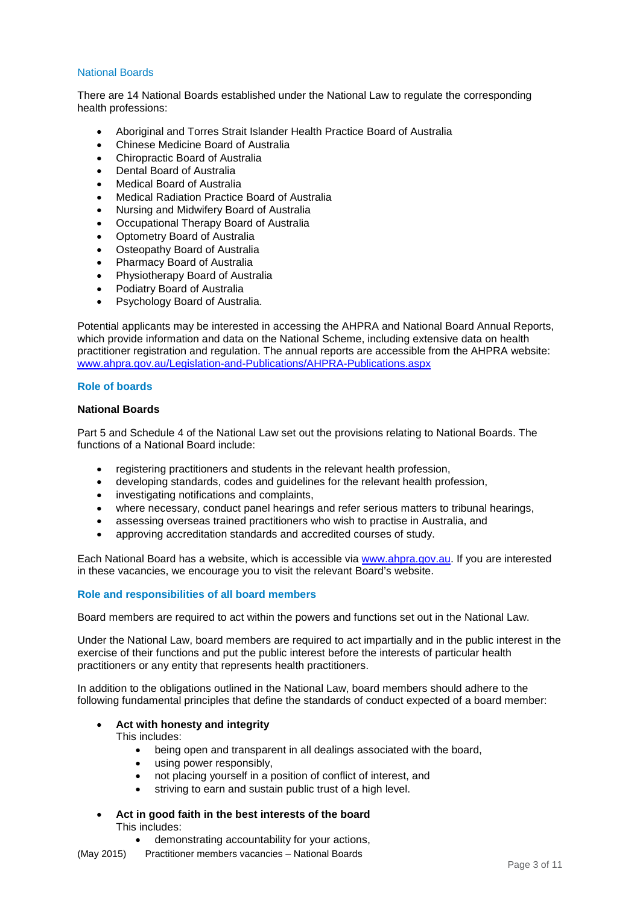#### National Boards

There are 14 National Boards established under the National Law to regulate the corresponding health professions:

- Aboriginal and Torres Strait Islander Health Practice Board of Australia
- Chinese Medicine Board of Australia
- Chiropractic Board of Australia
- Dental Board of Australia
- Medical Board of Australia
- Medical Radiation Practice Board of Australia
- Nursing and Midwifery Board of Australia
- Occupational Therapy Board of Australia
- Optometry Board of Australia
- **Osteopathy Board of Australia**
- Pharmacy Board of Australia
- Physiotherapy Board of Australia
- Podiatry Board of Australia
- Psychology Board of Australia.

Potential applicants may be interested in accessing the AHPRA and National Board Annual Reports, which provide information and data on the National Scheme, including extensive data on health practitioner registration and regulation. The annual reports are accessible from the AHPRA website: [www.ahpra.gov.au/Legislation-and-Publications/AHPRA-Publications.aspx](http://www.ahpra.gov.au/Legislation-and-Publications/AHPRA-Publications.aspx) 

#### **Role of boards**

#### **National Boards**

Part 5 and Schedule 4 of the National Law set out the provisions relating to National Boards. The functions of a National Board include:

- registering practitioners and students in the relevant health profession,
- developing standards, codes and guidelines for the relevant health profession,
- investigating notifications and complaints,
- where necessary, conduct panel hearings and refer serious matters to tribunal hearings,
- assessing overseas trained practitioners who wish to practise in Australia, and
- approving accreditation standards and accredited courses of study.

Each National Board has a website, which is accessible via [www.ahpra.gov.au.](http://www.ahpra.gov.au/) If you are interested in these vacancies, we encourage you to visit the relevant Board's website.

#### **Role and responsibilities of all board members**

Board members are required to act within the powers and functions set out in the National Law.

Under the National Law, board members are required to act impartially and in the public interest in the exercise of their functions and put the public interest before the interests of particular health practitioners or any entity that represents health practitioners.

In addition to the obligations outlined in the National Law, board members should adhere to the following fundamental principles that define the standards of conduct expected of a board member:

#### • **Act with honesty and integrity**

This includes:

- being open and transparent in all dealings associated with the board,
- using power responsibly,
- not placing yourself in a position of conflict of interest, and
- striving to earn and sustain public trust of a high level.
- **Act in good faith in the best interests of the board** This includes:
	- demonstrating accountability for your actions,

(May 2015) Practitioner members vacancies – National Boards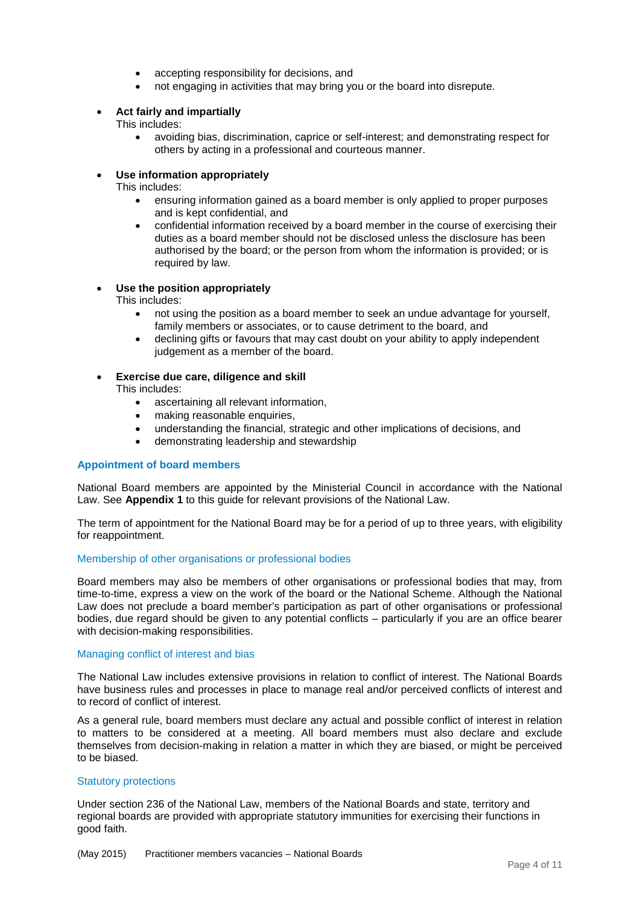- accepting responsibility for decisions, and
- not engaging in activities that may bring you or the board into disrepute.

# • **Act fairly and impartially**

This includes:

• avoiding bias, discrimination, caprice or self-interest; and demonstrating respect for others by acting in a professional and courteous manner.

# • **Use information appropriately**

This includes:

- ensuring information gained as a board member is only applied to proper purposes and is kept confidential, and
- confidential information received by a board member in the course of exercising their duties as a board member should not be disclosed unless the disclosure has been authorised by the board; or the person from whom the information is provided; or is required by law.

# • **Use the position appropriately**

This includes:

- not using the position as a board member to seek an undue advantage for yourself, family members or associates, or to cause detriment to the board, and
- declining gifts or favours that may cast doubt on your ability to apply independent judgement as a member of the board.

# • **Exercise due care, diligence and skill**

This includes:

- ascertaining all relevant information,
- making reasonable enquiries,
- understanding the financial, strategic and other implications of decisions, and
- demonstrating leadership and stewardship

#### **Appointment of board members**

National Board members are appointed by the Ministerial Council in accordance with the National Law. See **Appendix 1** to this guide for relevant provisions of the National Law.

The term of appointment for the National Board may be for a period of up to three years, with eligibility for reappointment.

#### Membership of other organisations or professional bodies

Board members may also be members of other organisations or professional bodies that may, from time-to-time, express a view on the work of the board or the National Scheme. Although the National Law does not preclude a board member's participation as part of other organisations or professional bodies, due regard should be given to any potential conflicts – particularly if you are an office bearer with decision-making responsibilities.

#### Managing conflict of interest and bias

The National Law includes extensive provisions in relation to conflict of interest. The National Boards have business rules and processes in place to manage real and/or perceived conflicts of interest and to record of conflict of interest.

As a general rule, board members must declare any actual and possible conflict of interest in relation to matters to be considered at a meeting. All board members must also declare and exclude themselves from decision-making in relation a matter in which they are biased, or might be perceived to be biased.

#### Statutory protections

Under section 236 of the National Law, members of the National Boards and state, territory and regional boards are provided with appropriate statutory immunities for exercising their functions in good faith.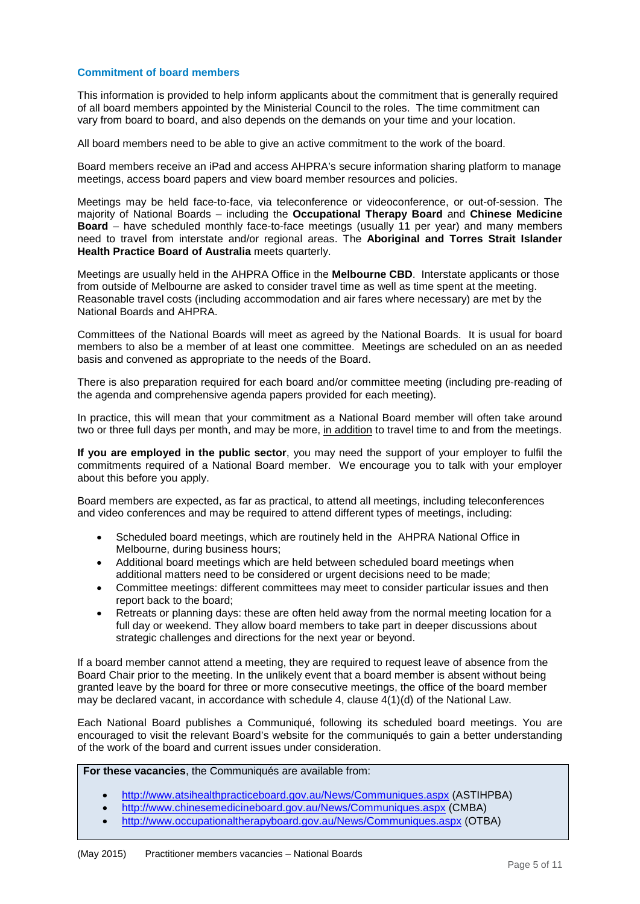# **Commitment of board members**

This information is provided to help inform applicants about the commitment that is generally required of all board members appointed by the Ministerial Council to the roles. The time commitment can vary from board to board, and also depends on the demands on your time and your location.

All board members need to be able to give an active commitment to the work of the board.

Board members receive an iPad and access AHPRA's secure information sharing platform to manage meetings, access board papers and view board member resources and policies.

Meetings may be held face-to-face, via teleconference or videoconference, or out-of-session. The majority of National Boards – including the **Occupational Therapy Board** and **Chinese Medicine Board** – have scheduled monthly face-to-face meetings (usually 11 per year) and many members need to travel from interstate and/or regional areas. The **Aboriginal and Torres Strait Islander Health Practice Board of Australia** meets quarterly.

Meetings are usually held in the AHPRA Office in the **Melbourne CBD**. Interstate applicants or those from outside of Melbourne are asked to consider travel time as well as time spent at the meeting. Reasonable travel costs (including accommodation and air fares where necessary) are met by the National Boards and AHPRA.

Committees of the National Boards will meet as agreed by the National Boards. It is usual for board members to also be a member of at least one committee. Meetings are scheduled on an as needed basis and convened as appropriate to the needs of the Board.

There is also preparation required for each board and/or committee meeting (including pre-reading of the agenda and comprehensive agenda papers provided for each meeting).

In practice, this will mean that your commitment as a National Board member will often take around two or three full days per month, and may be more, in addition to travel time to and from the meetings.

**If you are employed in the public sector**, you may need the support of your employer to fulfil the commitments required of a National Board member. We encourage you to talk with your employer about this before you apply.

Board members are expected, as far as practical, to attend all meetings, including teleconferences and video conferences and may be required to attend different types of meetings, including:

- Scheduled board meetings, which are routinely held in the AHPRA National Office in Melbourne, during business hours;
- Additional board meetings which are held between scheduled board meetings when additional matters need to be considered or urgent decisions need to be made;
- Committee meetings: different committees may meet to consider particular issues and then report back to the board;
- Retreats or planning days: these are often held away from the normal meeting location for a full day or weekend. They allow board members to take part in deeper discussions about strategic challenges and directions for the next year or beyond.

If a board member cannot attend a meeting, they are required to request leave of absence from the Board Chair prior to the meeting. In the unlikely event that a board member is absent without being granted leave by the board for three or more consecutive meetings, the office of the board member may be declared vacant, in accordance with schedule 4, clause 4(1)(d) of the National Law.

Each National Board publishes a Communiqué, following its scheduled board meetings. You are encouraged to visit the relevant Board's website for the communiqués to gain a better understanding of the work of the board and current issues under consideration.

# **For these vacancies**, the Communiqués are available from:

- <http://www.atsihealthpracticeboard.gov.au/News/Communiques.aspx> (ASTIHPBA)
- <http://www.chinesemedicineboard.gov.au/News/Communiques.aspx> (CMBA)
- <http://www.occupationaltherapyboard.gov.au/News/Communiques.aspx> (OTBA)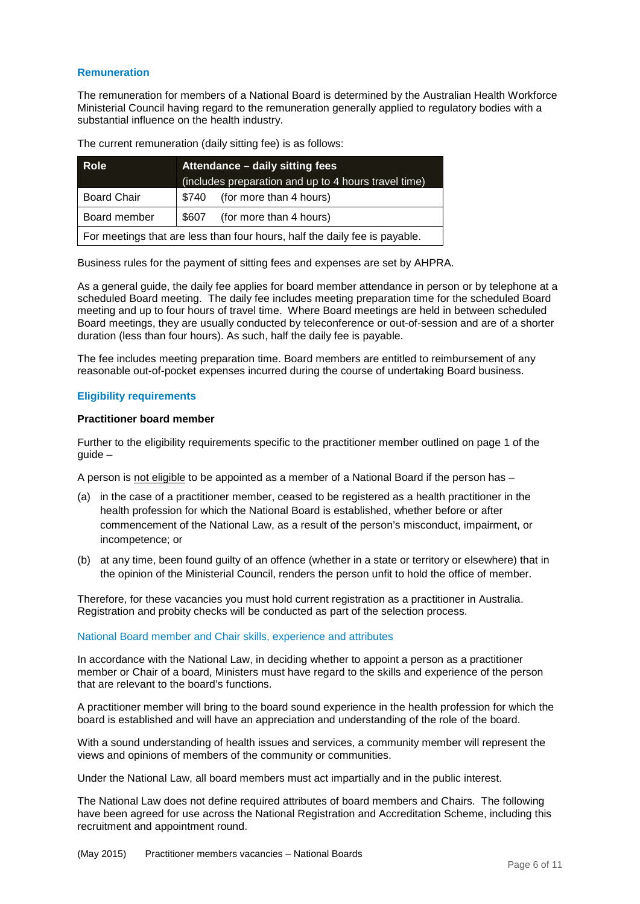# **Remuneration**

The remuneration for members of a National Board is determined by the Australian Health Workforce Ministerial Council having regard to the remuneration generally applied to regulatory bodies with a substantial influence on the health industry.

The current remuneration (daily sitting fee) is as follows:

| <b>Role</b>                                                                | Attendance – daily sitting fees                      |  |
|----------------------------------------------------------------------------|------------------------------------------------------|--|
|                                                                            | (includes preparation and up to 4 hours travel time) |  |
| <b>Board Chair</b>                                                         | (for more than 4 hours)<br>\$740                     |  |
| Board member                                                               | \$607<br>(for more than 4 hours)                     |  |
| For meetings that are less than four hours, half the daily fee is payable. |                                                      |  |

Business rules for the payment of sitting fees and expenses are set by AHPRA.

As a general guide, the daily fee applies for board member attendance in person or by telephone at a scheduled Board meeting. The daily fee includes meeting preparation time for the scheduled Board meeting and up to four hours of travel time. Where Board meetings are held in between scheduled Board meetings, they are usually conducted by teleconference or out-of-session and are of a shorter duration (less than four hours). As such, half the daily fee is payable.

The fee includes meeting preparation time. Board members are entitled to reimbursement of any reasonable out-of-pocket expenses incurred during the course of undertaking Board business.

# **Eligibility requirements**

# **Practitioner board member**

Further to the eligibility requirements specific to the practitioner member outlined on page 1 of the guide –

A person is not eligible to be appointed as a member of a National Board if the person has –

- (a) in the case of a practitioner member, ceased to be registered as a health practitioner in the health profession for which the National Board is established, whether before or after commencement of the National Law, as a result of the person's misconduct, impairment, or incompetence; or
- (b) at any time, been found guilty of an offence (whether in a state or territory or elsewhere) that in the opinion of the Ministerial Council, renders the person unfit to hold the office of member.

Therefore, for these vacancies you must hold current registration as a practitioner in Australia. Registration and probity checks will be conducted as part of the selection process.

#### National Board member and Chair skills, experience and attributes

In accordance with the National Law, in deciding whether to appoint a person as a practitioner member or Chair of a board, Ministers must have regard to the skills and experience of the person that are relevant to the board's functions.

A practitioner member will bring to the board sound experience in the health profession for which the board is established and will have an appreciation and understanding of the role of the board.

With a sound understanding of health issues and services, a community member will represent the views and opinions of members of the community or communities.

Under the National Law, all board members must act impartially and in the public interest.

The National Law does not define required attributes of board members and Chairs. The following have been agreed for use across the National Registration and Accreditation Scheme, including this recruitment and appointment round.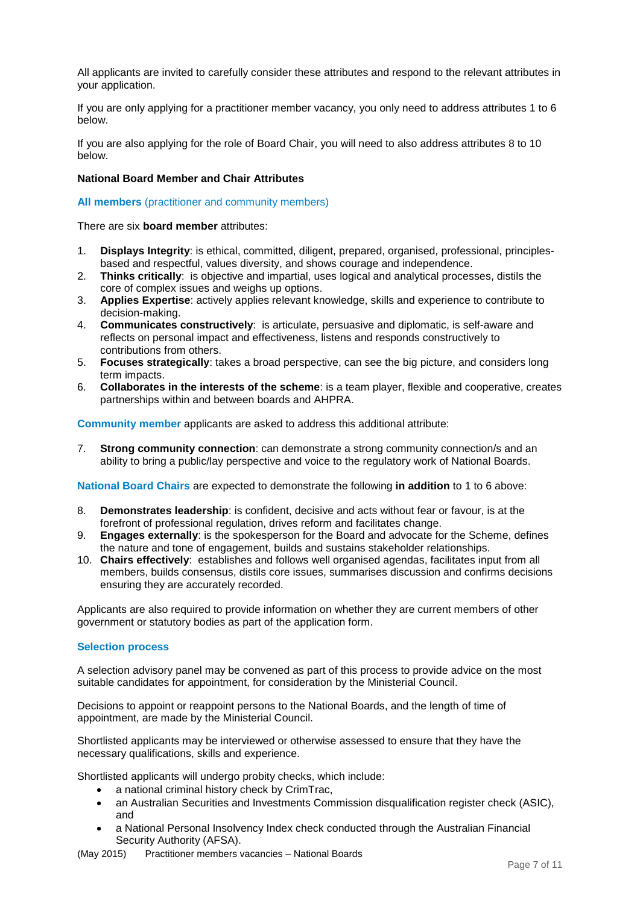All applicants are invited to carefully consider these attributes and respond to the relevant attributes in your application.

If you are only applying for a practitioner member vacancy, you only need to address attributes 1 to 6 below.

If you are also applying for the role of Board Chair, you will need to also address attributes 8 to 10 below.

# **National Board Member and Chair Attributes**

#### **All members** (practitioner and community members)

There are six **board member** attributes:

- 1. **Displays Integrity**: is ethical, committed, diligent, prepared, organised, professional, principlesbased and respectful, values diversity, and shows courage and independence.
- 2. **Thinks critically**: is objective and impartial, uses logical and analytical processes, distils the core of complex issues and weighs up options.
- 3. **Applies Expertise**: actively applies relevant knowledge, skills and experience to contribute to decision-making.
- 4. **Communicates constructively**: is articulate, persuasive and diplomatic, is self-aware and reflects on personal impact and effectiveness, listens and responds constructively to contributions from others.
- 5. **Focuses strategically**: takes a broad perspective, can see the big picture, and considers long term impacts.
- 6. **Collaborates in the interests of the scheme**: is a team player, flexible and cooperative, creates partnerships within and between boards and AHPRA.

**Community member** applicants are asked to address this additional attribute:

7. **Strong community connection**: can demonstrate a strong community connection/s and an ability to bring a public/lay perspective and voice to the regulatory work of National Boards.

**National Board Chairs** are expected to demonstrate the following **in addition** to 1 to 6 above:

- 8. **Demonstrates leadership**: is confident, decisive and acts without fear or favour, is at the forefront of professional regulation, drives reform and facilitates change.
- 9. **Engages externally**: is the spokesperson for the Board and advocate for the Scheme, defines the nature and tone of engagement, builds and sustains stakeholder relationships.
- 10. **Chairs effectively**: establishes and follows well organised agendas, facilitates input from all members, builds consensus, distils core issues, summarises discussion and confirms decisions ensuring they are accurately recorded.

Applicants are also required to provide information on whether they are current members of other government or statutory bodies as part of the application form.

#### **Selection process**

A selection advisory panel may be convened as part of this process to provide advice on the most suitable candidates for appointment, for consideration by the Ministerial Council.

Decisions to appoint or reappoint persons to the National Boards, and the length of time of appointment, are made by the Ministerial Council.

Shortlisted applicants may be interviewed or otherwise assessed to ensure that they have the necessary qualifications, skills and experience.

Shortlisted applicants will undergo probity checks, which include:

- a national criminal history check by CrimTrac,
- an Australian Securities and Investments Commission disqualification register check (ASIC), and
- a National Personal Insolvency Index check conducted through the Australian Financial Security Authority (AFSA).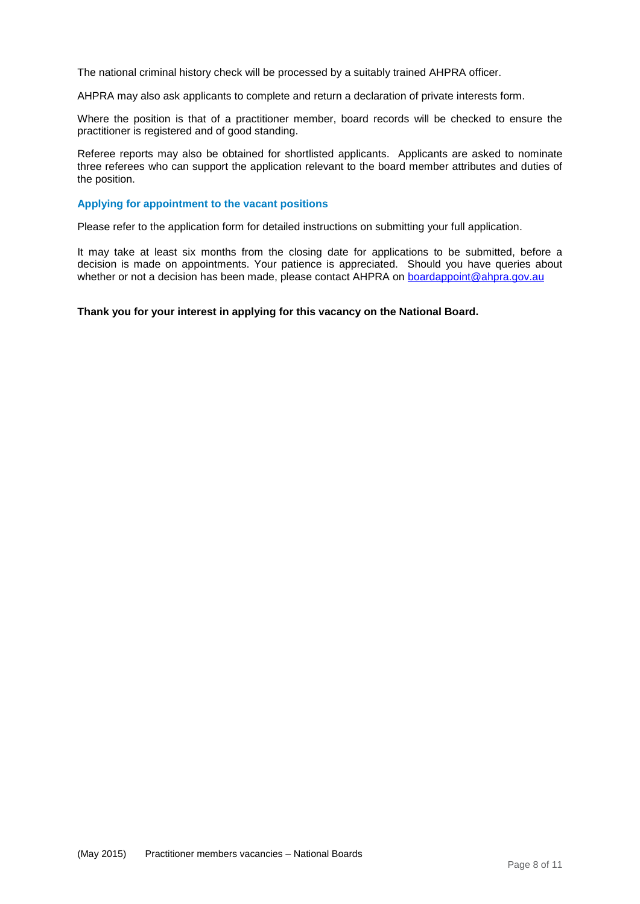The national criminal history check will be processed by a suitably trained AHPRA officer.

AHPRA may also ask applicants to complete and return a declaration of private interests form.

Where the position is that of a practitioner member, board records will be checked to ensure the practitioner is registered and of good standing.

Referee reports may also be obtained for shortlisted applicants. Applicants are asked to nominate three referees who can support the application relevant to the board member attributes and duties of the position.

#### **Applying for appointment to the vacant positions**

Please refer to the application form for detailed instructions on submitting your full application.

It may take at least six months from the closing date for applications to be submitted, before a decision is made on appointments. Your patience is appreciated. Should you have queries about whether or not a decision has been made, please contact AHPRA on [boardappoint@ahpra.gov.au](mailto:boardappoint@ahpra.gov.au)

**Thank you for your interest in applying for this vacancy on the National Board.**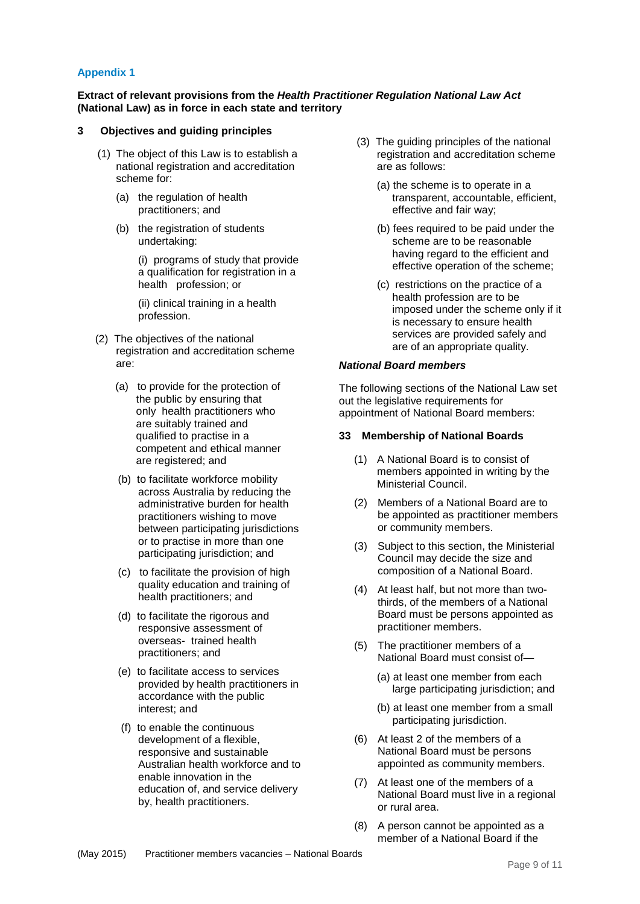# **Appendix 1**

# **Extract of relevant provisions from the** *Health Practitioner Regulation National Law Act*  **(National Law) as in force in each state and territory**

#### **3 Objectives and guiding principles**

- (1) The object of this Law is to establish a national registration and accreditation scheme for:
	- (a) the regulation of health practitioners; and
	- (b) the registration of students undertaking:

(i) programs of study that provide a qualification for registration in a health profession; or

(ii) clinical training in a health profession.

- (2) The objectives of the national registration and accreditation scheme are:
	- (a) to provide for the protection of the public by ensuring that only health practitioners who are suitably trained and qualified to practise in a competent and ethical manner are registered; and
	- (b) to facilitate workforce mobility across Australia by reducing the administrative burden for health practitioners wishing to move between participating jurisdictions or to practise in more than one participating jurisdiction; and
	- (c) to facilitate the provision of high quality education and training of health practitioners; and
	- (d) to facilitate the rigorous and responsive assessment of overseas- trained health practitioners; and
	- (e) to facilitate access to services provided by health practitioners in accordance with the public interest; and
	- (f) to enable the continuous development of a flexible, responsive and sustainable Australian health workforce and to enable innovation in the education of, and service delivery by, health practitioners.
- (3) The guiding principles of the national registration and accreditation scheme are as follows:
	- (a) the scheme is to operate in a transparent, accountable, efficient, effective and fair way;
	- (b) fees required to be paid under the scheme are to be reasonable having regard to the efficient and effective operation of the scheme;
	- (c) restrictions on the practice of a health profession are to be imposed under the scheme only if it is necessary to ensure health services are provided safely and are of an appropriate quality.

# *National Board members*

The following sections of the National Law set out the legislative requirements for appointment of National Board members:

# **33 Membership of National Boards**

- (1) A National Board is to consist of members appointed in writing by the Ministerial Council.
- (2) Members of a National Board are to be appointed as practitioner members or community members.
- (3) Subject to this section, the Ministerial Council may decide the size and composition of a National Board.
- (4) At least half, but not more than twothirds, of the members of a National Board must be persons appointed as practitioner members.
- (5) The practitioner members of a National Board must consist of—
	- (a) at least one member from each large participating jurisdiction; and
	- (b) at least one member from a small participating jurisdiction.
- (6) At least 2 of the members of a National Board must be persons appointed as community members.
- (7) At least one of the members of a National Board must live in a regional or rural area.
- (8) A person cannot be appointed as a member of a National Board if the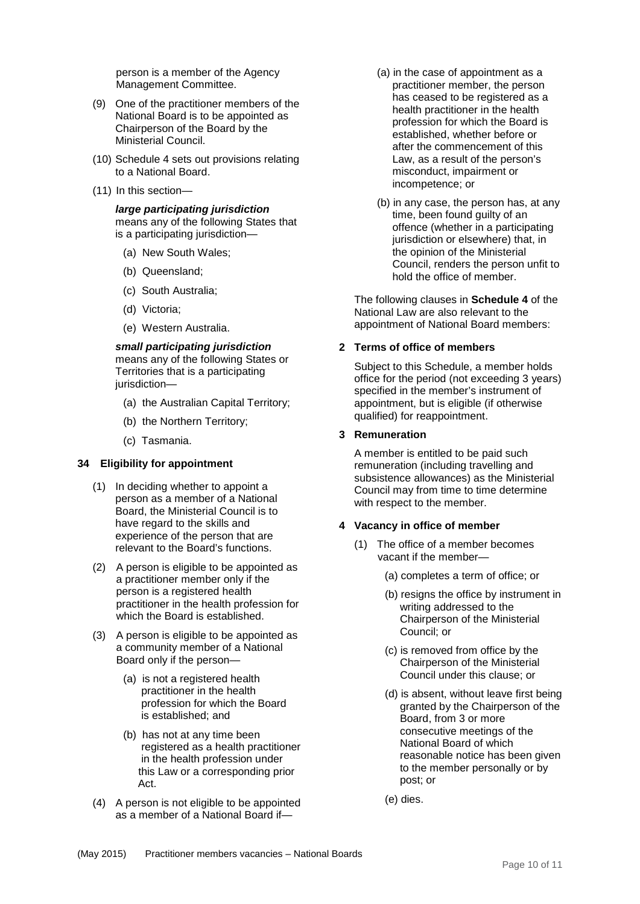person is a member of the Agency Management Committee.

- (9) One of the practitioner members of the National Board is to be appointed as Chairperson of the Board by the Ministerial Council.
- (10) Schedule 4 sets out provisions relating to a National Board.
- (11) In this section—

*large participating jurisdiction*  means any of the following States that is a participating jurisdiction—

- (a) New South Wales;
- (b) Queensland;
- (c) South Australia;
- (d) Victoria;
- (e) Western Australia.

*small participating jurisdiction*  means any of the following States or Territories that is a participating jurisdiction—

- (a) the Australian Capital Territory;
- (b) the Northern Territory;
- (c) Tasmania.

# **34 Eligibility for appointment**

- (1) In deciding whether to appoint a person as a member of a National Board, the Ministerial Council is to have regard to the skills and experience of the person that are relevant to the Board's functions.
- (2) A person is eligible to be appointed as a practitioner member only if the person is a registered health practitioner in the health profession for which the Board is established.
- (3) A person is eligible to be appointed as a community member of a National Board only if the person—
	- (a) is not a registered health practitioner in the health profession for which the Board is established; and
	- (b) has not at any time been registered as a health practitioner in the health profession under this Law or a corresponding prior Act.
- (4) A person is not eligible to be appointed as a member of a National Board if—
- (a) in the case of appointment as a practitioner member, the person has ceased to be registered as a health practitioner in the health profession for which the Board is established, whether before or after the commencement of this Law, as a result of the person's misconduct, impairment or incompetence; or
- (b) in any case, the person has, at any time, been found guilty of an offence (whether in a participating jurisdiction or elsewhere) that, in the opinion of the Ministerial Council, renders the person unfit to hold the office of member.

The following clauses in **Schedule 4** of the National Law are also relevant to the appointment of National Board members:

# **2 Terms of office of members**

Subject to this Schedule, a member holds office for the period (not exceeding 3 years) specified in the member's instrument of appointment, but is eligible (if otherwise qualified) for reappointment.

# **3 Remuneration**

A member is entitled to be paid such remuneration (including travelling and subsistence allowances) as the Ministerial Council may from time to time determine with respect to the member.

# **4 Vacancy in office of member**

- (1) The office of a member becomes vacant if the member—
	- (a) completes a term of office; or
	- (b) resigns the office by instrument in writing addressed to the Chairperson of the Ministerial Council; or
	- (c) is removed from office by the Chairperson of the Ministerial Council under this clause; or
	- (d) is absent, without leave first being granted by the Chairperson of the Board, from 3 or more consecutive meetings of the National Board of which reasonable notice has been given to the member personally or by post; or
	- (e) dies.